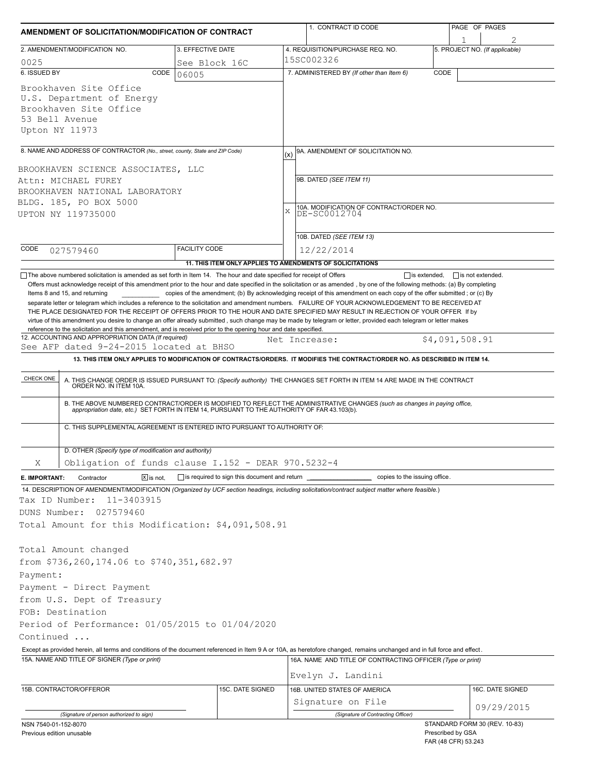| AMENDMENT OF SOLICITATION/MODIFICATION OF CONTRACT                                                                                                                                                                |                                                                          |     | 1. CONTRACT ID CODE                                                                                                                                                                                                   |                   | PAGE OF PAGES                                        |  |  |  |
|-------------------------------------------------------------------------------------------------------------------------------------------------------------------------------------------------------------------|--------------------------------------------------------------------------|-----|-----------------------------------------------------------------------------------------------------------------------------------------------------------------------------------------------------------------------|-------------------|------------------------------------------------------|--|--|--|
| 2. AMENDMENT/MODIFICATION NO.                                                                                                                                                                                     | 3. EFFECTIVE DATE                                                        |     | 4. REQUISITION/PURCHASE REQ. NO.                                                                                                                                                                                      |                   | 5. PROJECT NO. (If applicable)                       |  |  |  |
| 0025                                                                                                                                                                                                              | See Block 16C                                                            |     | 15SC002326                                                                                                                                                                                                            |                   |                                                      |  |  |  |
| 6. ISSUED BY<br>CODE                                                                                                                                                                                              | 06005                                                                    |     | 7. ADMINISTERED BY (If other than Item 6)                                                                                                                                                                             | CODE              |                                                      |  |  |  |
| Brookhaven Site Office<br>U.S. Department of Energy<br>Brookhaven Site Office<br>53 Bell Avenue<br>Upton NY 11973                                                                                                 |                                                                          |     |                                                                                                                                                                                                                       |                   |                                                      |  |  |  |
| 8. NAME AND ADDRESS OF CONTRACTOR (No., street, county, State and ZIP Code)                                                                                                                                       |                                                                          | (x) | 9A. AMENDMENT OF SOLICITATION NO.                                                                                                                                                                                     |                   |                                                      |  |  |  |
| BROOKHAVEN SCIENCE ASSOCIATES, LLC                                                                                                                                                                                |                                                                          |     |                                                                                                                                                                                                                       |                   |                                                      |  |  |  |
| Attn: MICHAEL FUREY                                                                                                                                                                                               |                                                                          |     | 9B. DATED (SEE ITEM 11)                                                                                                                                                                                               |                   |                                                      |  |  |  |
| BROOKHAVEN NATIONAL LABORATORY                                                                                                                                                                                    |                                                                          |     | 10A. MODIFICATION OF CONTRACT/ORDER NO.<br>DE-SC0012704<br>X                                                                                                                                                          |                   |                                                      |  |  |  |
| BLDG. 185, PO BOX 5000                                                                                                                                                                                            |                                                                          |     |                                                                                                                                                                                                                       |                   |                                                      |  |  |  |
| UPTON NY 119735000                                                                                                                                                                                                |                                                                          |     |                                                                                                                                                                                                                       |                   |                                                      |  |  |  |
|                                                                                                                                                                                                                   |                                                                          |     |                                                                                                                                                                                                                       |                   |                                                      |  |  |  |
|                                                                                                                                                                                                                   |                                                                          |     | 10B. DATED (SEE ITEM 13)                                                                                                                                                                                              |                   |                                                      |  |  |  |
| CODE<br>027579460                                                                                                                                                                                                 | <b>FACILITY CODE</b>                                                     |     | 12/22/2014                                                                                                                                                                                                            |                   |                                                      |  |  |  |
|                                                                                                                                                                                                                   | 11. THIS ITEM ONLY APPLIES TO AMENDMENTS OF SOLICITATIONS                |     |                                                                                                                                                                                                                       |                   |                                                      |  |  |  |
| reference to the solicitation and this amendment, and is received prior to the opening hour and date specified.<br>12. ACCOUNTING AND APPROPRIATION DATA (If required)<br>See AFP dated 9-24-2015 located at BHSO |                                                                          |     | Net Increase:<br>13. THIS ITEM ONLY APPLIES TO MODIFICATION OF CONTRACTS/ORDERS. IT MODIFIES THE CONTRACT/ORDER NO. AS DESCRIBED IN ITEM 14.                                                                          |                   | \$4,091,508.91                                       |  |  |  |
| CHECK ONE                                                                                                                                                                                                         |                                                                          |     | A. THIS CHANGE ORDER IS ISSUED PURSUANT TO: (Specify authority) THE CHANGES SET FORTH IN ITEM 14 ARE MADE IN THE CONTRACT ORDER NO. IN ITEM 10A.                                                                      |                   |                                                      |  |  |  |
|                                                                                                                                                                                                                   |                                                                          |     | B. THE ABOVE NUMBERED CONTRACT/ORDER IS MODIFIED TO REFLECT THE ADMINISTRATIVE CHANGES (such as changes in paying office, appropriation date, etc.) SET FORTH IN ITEM 14, PURSUANT TO THE AUTHORITY OF FAR 43.103(b). |                   |                                                      |  |  |  |
|                                                                                                                                                                                                                   | C. THIS SUPPLEMENTAL AGREEMENT IS ENTERED INTO PURSUANT TO AUTHORITY OF: |     |                                                                                                                                                                                                                       |                   |                                                      |  |  |  |
| D. OTHER (Specify type of modification and authority)                                                                                                                                                             |                                                                          |     |                                                                                                                                                                                                                       |                   |                                                      |  |  |  |
| Χ                                                                                                                                                                                                                 | Obligation of funds clause I.152 - DEAR 970.5232-4                       |     |                                                                                                                                                                                                                       |                   |                                                      |  |  |  |
| Contractor<br>$X$ is not.<br>E. IMPORTANT:                                                                                                                                                                        |                                                                          |     |                                                                                                                                                                                                                       |                   |                                                      |  |  |  |
| 14. DESCRIPTION OF AMENDMENT/MODIFICATION (Organized by UCF section headings, including solicitation/contract subject matter where feasible.)                                                                     |                                                                          |     |                                                                                                                                                                                                                       |                   |                                                      |  |  |  |
| Tax ID Number:<br>11-3403915                                                                                                                                                                                      |                                                                          |     |                                                                                                                                                                                                                       |                   |                                                      |  |  |  |
| DUNS Number:<br>027579460                                                                                                                                                                                         |                                                                          |     |                                                                                                                                                                                                                       |                   |                                                      |  |  |  |
| Total Amount for this Modification: \$4,091,508.91                                                                                                                                                                |                                                                          |     |                                                                                                                                                                                                                       |                   |                                                      |  |  |  |
|                                                                                                                                                                                                                   |                                                                          |     |                                                                                                                                                                                                                       |                   |                                                      |  |  |  |
| Total Amount changed                                                                                                                                                                                              |                                                                          |     |                                                                                                                                                                                                                       |                   |                                                      |  |  |  |
| from \$736,260,174.06 to \$740,351,682.97                                                                                                                                                                         |                                                                          |     |                                                                                                                                                                                                                       |                   |                                                      |  |  |  |
| Payment:                                                                                                                                                                                                          |                                                                          |     |                                                                                                                                                                                                                       |                   |                                                      |  |  |  |
| Payment - Direct Payment                                                                                                                                                                                          |                                                                          |     |                                                                                                                                                                                                                       |                   |                                                      |  |  |  |
| from U.S. Dept of Treasury                                                                                                                                                                                        |                                                                          |     |                                                                                                                                                                                                                       |                   |                                                      |  |  |  |
| FOB: Destination                                                                                                                                                                                                  |                                                                          |     |                                                                                                                                                                                                                       |                   |                                                      |  |  |  |
| Period of Performance: 01/05/2015 to 01/04/2020                                                                                                                                                                   |                                                                          |     |                                                                                                                                                                                                                       |                   |                                                      |  |  |  |
| Continued                                                                                                                                                                                                         |                                                                          |     |                                                                                                                                                                                                                       |                   |                                                      |  |  |  |
| Except as provided herein, all terms and conditions of the document referenced in Item 9 A or 10A, as heretofore changed, remains unchanged and in full force and effect.                                         |                                                                          |     |                                                                                                                                                                                                                       |                   |                                                      |  |  |  |
| 15A. NAME AND TITLE OF SIGNER (Type or print)                                                                                                                                                                     |                                                                          |     | 16A. NAME AND TITLE OF CONTRACTING OFFICER (Type or print)                                                                                                                                                            |                   |                                                      |  |  |  |
|                                                                                                                                                                                                                   |                                                                          |     | Evelyn J. Landini                                                                                                                                                                                                     |                   |                                                      |  |  |  |
| 15B. CONTRACTOR/OFFEROR                                                                                                                                                                                           | 15C. DATE SIGNED                                                         |     | 16B. UNITED STATES OF AMERICA                                                                                                                                                                                         |                   | 16C. DATE SIGNED                                     |  |  |  |
|                                                                                                                                                                                                                   |                                                                          |     | Signature on File                                                                                                                                                                                                     |                   | 09/29/2015                                           |  |  |  |
| (Signature of person authorized to sign)                                                                                                                                                                          |                                                                          |     | (Signature of Contracting Officer)                                                                                                                                                                                    |                   |                                                      |  |  |  |
| NSN 7540-01-152-8070<br>Previous edition unusable                                                                                                                                                                 |                                                                          |     |                                                                                                                                                                                                                       | Prescribed by GSA | STANDARD FORM 30 (REV. 10-83)<br>FAR (48 CFR) 53.243 |  |  |  |